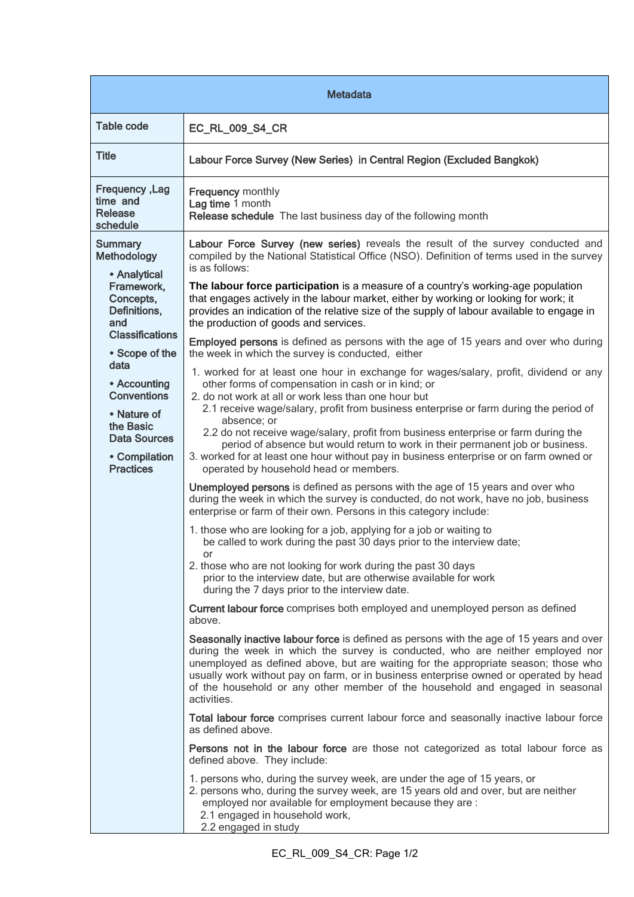| <b>Metadata</b>                                                                                                                                                                                                                                                                   |                                                                                                                                                                                                                                                                                                                                                                                                                                                                                                                                                                                                                                                                                                                                                                                                                                                                                                                                                                                                                                                                                                                                                                                                                                                                                                                                                                                                                                                                                                                                                                                                                                                                                                                                                                                                                                                                                                                                                                                                                                                                                                                                                                            |  |
|-----------------------------------------------------------------------------------------------------------------------------------------------------------------------------------------------------------------------------------------------------------------------------------|----------------------------------------------------------------------------------------------------------------------------------------------------------------------------------------------------------------------------------------------------------------------------------------------------------------------------------------------------------------------------------------------------------------------------------------------------------------------------------------------------------------------------------------------------------------------------------------------------------------------------------------------------------------------------------------------------------------------------------------------------------------------------------------------------------------------------------------------------------------------------------------------------------------------------------------------------------------------------------------------------------------------------------------------------------------------------------------------------------------------------------------------------------------------------------------------------------------------------------------------------------------------------------------------------------------------------------------------------------------------------------------------------------------------------------------------------------------------------------------------------------------------------------------------------------------------------------------------------------------------------------------------------------------------------------------------------------------------------------------------------------------------------------------------------------------------------------------------------------------------------------------------------------------------------------------------------------------------------------------------------------------------------------------------------------------------------------------------------------------------------------------------------------------------------|--|
| <b>Table code</b>                                                                                                                                                                                                                                                                 | EC_RL_009_S4_CR                                                                                                                                                                                                                                                                                                                                                                                                                                                                                                                                                                                                                                                                                                                                                                                                                                                                                                                                                                                                                                                                                                                                                                                                                                                                                                                                                                                                                                                                                                                                                                                                                                                                                                                                                                                                                                                                                                                                                                                                                                                                                                                                                            |  |
| <b>Title</b>                                                                                                                                                                                                                                                                      | Labour Force Survey (New Series) in Central Region (Excluded Bangkok)                                                                                                                                                                                                                                                                                                                                                                                                                                                                                                                                                                                                                                                                                                                                                                                                                                                                                                                                                                                                                                                                                                                                                                                                                                                                                                                                                                                                                                                                                                                                                                                                                                                                                                                                                                                                                                                                                                                                                                                                                                                                                                      |  |
| Frequency, Lag<br>time and<br>Release<br>schedule                                                                                                                                                                                                                                 | <b>Frequency monthly</b><br>Lag time 1 month<br>Release schedule The last business day of the following month                                                                                                                                                                                                                                                                                                                                                                                                                                                                                                                                                                                                                                                                                                                                                                                                                                                                                                                                                                                                                                                                                                                                                                                                                                                                                                                                                                                                                                                                                                                                                                                                                                                                                                                                                                                                                                                                                                                                                                                                                                                              |  |
| <b>Summary</b><br><b>Methodology</b><br>• Analytical<br>Framework,<br>Concepts,<br>Definitions,<br>and<br><b>Classifications</b><br>• Scope of the<br>data<br>• Accounting<br><b>Conventions</b><br>• Nature of<br>the Basic<br>Data Sources<br>• Compilation<br><b>Practices</b> | Labour Force Survey (new series) reveals the result of the survey conducted and<br>compiled by the National Statistical Office (NSO). Definition of terms used in the survey<br>is as follows:<br>The labour force participation is a measure of a country's working-age population<br>that engages actively in the labour market, either by working or looking for work; it<br>provides an indication of the relative size of the supply of labour available to engage in<br>the production of goods and services.<br><b>Employed persons</b> is defined as persons with the age of 15 years and over who during<br>the week in which the survey is conducted, either<br>1. worked for at least one hour in exchange for wages/salary, profit, dividend or any<br>other forms of compensation in cash or in kind; or<br>2. do not work at all or work less than one hour but<br>2.1 receive wage/salary, profit from business enterprise or farm during the period of<br>absence; or<br>2.2 do not receive wage/salary, profit from business enterprise or farm during the<br>period of absence but would return to work in their permanent job or business.<br>3. worked for at least one hour without pay in business enterprise or on farm owned or<br>operated by household head or members.<br>Unemployed persons is defined as persons with the age of 15 years and over who<br>during the week in which the survey is conducted, do not work, have no job, business<br>enterprise or farm of their own. Persons in this category include:<br>1. those who are looking for a job, applying for a job or waiting to<br>be called to work during the past 30 days prior to the interview date;<br>or<br>2. those who are not looking for work during the past 30 days<br>prior to the interview date, but are otherwise available for work<br>during the 7 days prior to the interview date.<br>Current labour force comprises both employed and unemployed person as defined<br>above.<br>Seasonally inactive labour force is defined as persons with the age of 15 years and over<br>during the week in which the survey is conducted, who are neither employed nor |  |
|                                                                                                                                                                                                                                                                                   | unemployed as defined above, but are waiting for the appropriate season; those who<br>usually work without pay on farm, or in business enterprise owned or operated by head<br>of the household or any other member of the household and engaged in seasonal<br>activities.                                                                                                                                                                                                                                                                                                                                                                                                                                                                                                                                                                                                                                                                                                                                                                                                                                                                                                                                                                                                                                                                                                                                                                                                                                                                                                                                                                                                                                                                                                                                                                                                                                                                                                                                                                                                                                                                                                |  |
|                                                                                                                                                                                                                                                                                   | Total labour force comprises current labour force and seasonally inactive labour force<br>as defined above.                                                                                                                                                                                                                                                                                                                                                                                                                                                                                                                                                                                                                                                                                                                                                                                                                                                                                                                                                                                                                                                                                                                                                                                                                                                                                                                                                                                                                                                                                                                                                                                                                                                                                                                                                                                                                                                                                                                                                                                                                                                                |  |
|                                                                                                                                                                                                                                                                                   | Persons not in the labour force are those not categorized as total labour force as<br>defined above. They include:                                                                                                                                                                                                                                                                                                                                                                                                                                                                                                                                                                                                                                                                                                                                                                                                                                                                                                                                                                                                                                                                                                                                                                                                                                                                                                                                                                                                                                                                                                                                                                                                                                                                                                                                                                                                                                                                                                                                                                                                                                                         |  |
|                                                                                                                                                                                                                                                                                   | 1. persons who, during the survey week, are under the age of 15 years, or<br>2. persons who, during the survey week, are 15 years old and over, but are neither<br>employed nor available for employment because they are :<br>2.1 engaged in household work,<br>2.2 engaged in study                                                                                                                                                                                                                                                                                                                                                                                                                                                                                                                                                                                                                                                                                                                                                                                                                                                                                                                                                                                                                                                                                                                                                                                                                                                                                                                                                                                                                                                                                                                                                                                                                                                                                                                                                                                                                                                                                      |  |